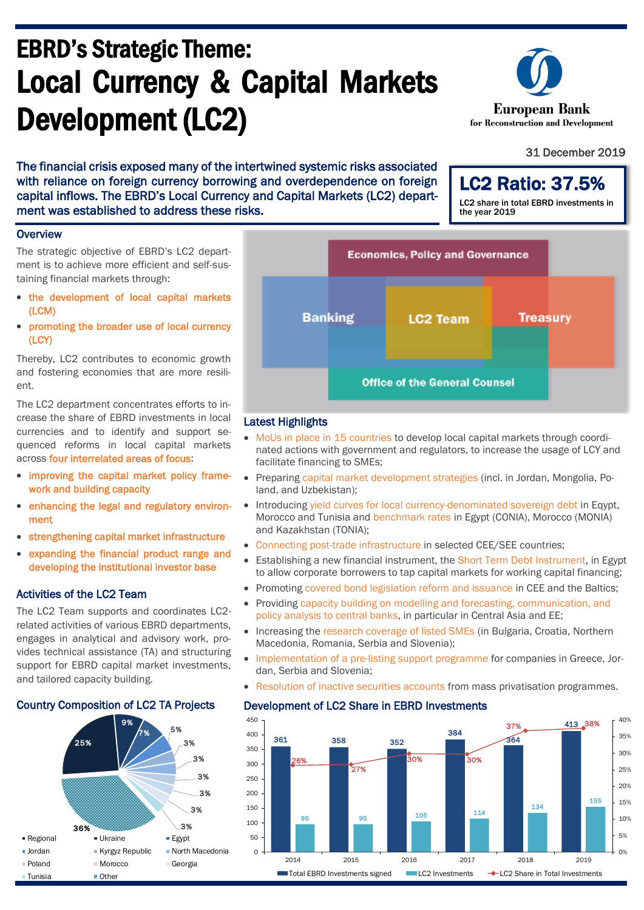# EBRD's Strategic Theme: Local Currency & Capital Markets Development (LC2)

The financial crisis exposed many of the intertwined systemic risks associated with reliance on foreign currency borrowing and overdependence on foreign capital inflows. The EBRD's Local Currency and Capital Markets (LC2) department was established to address these risks.

#### **Overview**

The strategic objective of EBRD's LC2 department is to achieve more efficient and self-sustaining financial markets through:

- the development of local capital markets (LCM)
- promoting the broader use of local currency (LCY)

Thereby, LC2 contributes to economic growth and fostering economies that are more resilient.

The LC2 department concentrates efforts to increase the share of EBRD investments in local currencies and to identify and support sequenced reforms in local capital markets across four interrelated areas of focus:

- improving the capital market policy framework and building capacity
- enhancing the legal and regulatory environment
- strengthening capital market infrastructure
- expanding the financial product range and developing the institutional investor base

### Activities of the LC2 Team

The LC2 Team supports and coordinates LC2 related activities of various EBRD departments, engages in analytical and advisory work, provides technical assistance (TA) and structuring support for EBRD capital market investments, and tailored capacity building.





#### Latest Highlights

- MoUs in place in 15 countries to develop local capital markets through coordinated actions with government and regulators, to increase the usage of LCY and facilitate financing to SMEs;
- Preparing capital market development strategies (incl. in Jordan, Mongolia, Poland, and Uzbekistan);
- Introducing yield curves for local currency-denominated sovereign debt in Eqypt, Morocco and Tunisia and benchmark rates in Egypt (CONIA), Morocco (MONIA) and Kazakhstan (TONIA);
- Connecting post-trade infrastructure in selected CEE/SEE countries;
- Establishing a new financial instrument, the Short Term Debt Instrument, in Egypt to allow corporate borrowers to tap capital markets for working capital financing;
- Promoting covered bond legislation reform and issuance in CEE and the Baltics:
- Providing capacity building on modelling and forecasting, communication, and policy analysis to central banks, in particular in Central Asia and EE;
- Increasing the research coverage of listed SMEs (in Bulgaria, Croatia, Northern Macedonia, Romania, Serbia and Slovenia);
- Implementation of a pre-listing support programme for companies in Greece, Jordan, Serbia and Slovenia;
- Resolution of inactive securities accounts from mass privatisation programmes.

#### Development of LC2 Share in EBRD Investments



European Bank for Reconstruction and Development

#### 31 December 2019

LC2 Ratio: 37.5% LC2 share in total EBRD investments in the year 2019